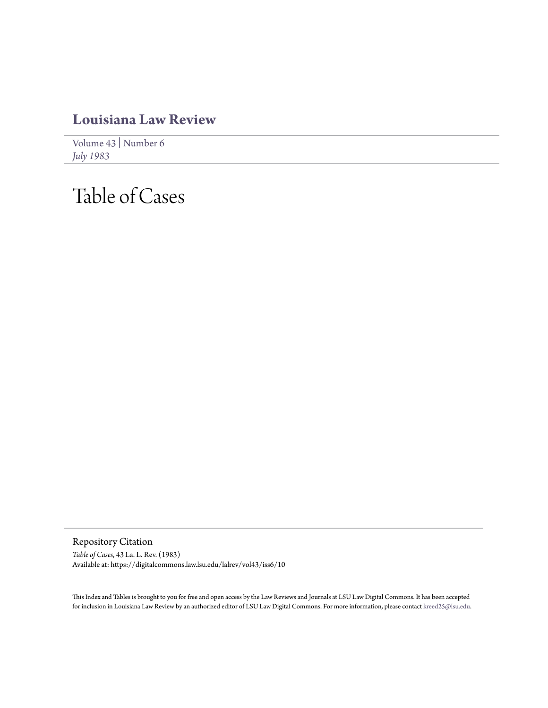## **[Louisiana Law Review](https://digitalcommons.law.lsu.edu/lalrev)**

[Volume 43](https://digitalcommons.law.lsu.edu/lalrev/vol43) | [Number 6](https://digitalcommons.law.lsu.edu/lalrev/vol43/iss6) *[July 1983](https://digitalcommons.law.lsu.edu/lalrev/vol43/iss6)*

## Table of Cases

Repository Citation *Table of Cases*, 43 La. L. Rev. (1983) Available at: https://digitalcommons.law.lsu.edu/lalrev/vol43/iss6/10

This Index and Tables is brought to you for free and open access by the Law Reviews and Journals at LSU Law Digital Commons. It has been accepted for inclusion in Louisiana Law Review by an authorized editor of LSU Law Digital Commons. For more information, please contact [kreed25@lsu.edu](mailto:kreed25@lsu.edu).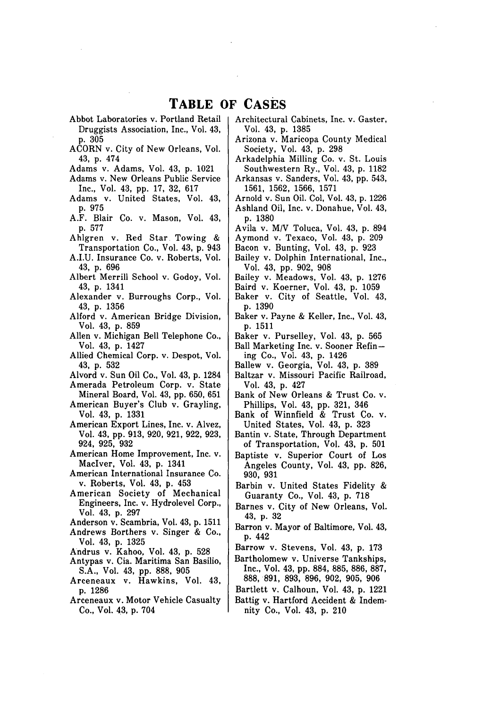## **TABLE OF CASES**

- Abbot Laboratories v. Portland Retail Druggists Association, Inc., Vol. 43, p. **305**
- ACORN v. City of New Orleans, Vol. 43, p. 474
- Adams v. Adams, Vol. 43, p. 1021
- Adams v. New Orleans Public Service Inc., Vol. 43, pp. 17, 32, 617
- Adams v. United States, Vol. 43, p. 975
- A.F. Blair Co. v. Mason, Vol. 43, p. 577
- Ahlgren v. Red Star Towing & Transportation Co., Vol. 43, p. 943
- A.I.U. Insurance Co. v. Roberts, Vol. 43, p. 696
- Albert Merrill School v. Godoy, Vol. 43, p. 1341
- Alexander v. Burroughs Corp., Vol. 43, p. 1356
- Alford v. American Bridge Division, Vol. 43, p. 859
- Allen v. Michigan Bell Telephone Co., Vol. 43, p. 1427
- Allied Chemical Corp. v. Despot, Vol. 43, p. 532

Alvord v. Sun Oil Co., Vol. 43, p. 1284

- Amerada Petroleum Corp. v. State Mineral Board, Vol. 43, pp. 650, 651
- American Buyer's Club v. Grayling, Vol. 43, p. 1331
- American Export Lines, Inc. v. Alvez, Vol. 43, pp. 913, 920, 921, 922, 923, 924, 925, 932
- American Home Improvement, Inc. v. MacIver, Vol. 43, p. 1341
- American International Insurance Co. v. Roberts, Vol. 43, p. 453
- American Society of Mechanical Engineers, Inc. v. Hydrolevel Corp., Vol. 43, p. 297
- Anderson v. Scambria, Vol. 43, p. 1511
- Andrews Borthers v. Singer & Co., Vol. 43, p. 1325
- Andrus v. Kahoo, Vol. 43, p. 528
- Antypas v. Cia. Maritima San Basilio, S.A., Vol. 43, pp. 888, 905
- Arceneaux v. Hawkins, Vol. 43, p. 1286
- Arceneaux v. Motor Vehicle Casualty Co., Vol. 43, p. 704
- Architectural Cabinets, Inc. v. Gaster, Vol. 43, p. 1385
- Arizona v. Maricopa County Medical Society, Vol. 43, p. 298
- Arkadelphia Milling Co. v. St. Louis Southwestern Ry., Vol. 43, p. 1182 Arkansas v. Sanders, Vol. 43, pp. 543,
- 1561, 1562, 1566, 1571
- Arnold v. Sun Oil. Col, Vol. 43, p. 1226 Ashland Oil, Inc. v. Donahue, Vol. 43, p. 1380
- Avila v. M/V Toluca, Vol. 43, p. 894 Aymond v. Texaco, Vol. 43, p. 209
- Bacon v. Bunting, Vol. 43, p. 923
- Bailey v. Dolphin International, Inc., Vol. 43, pp. 902, 908
- Bailey v. Meadows, Vol. 43, p. 1276
- Baird v. Koerner, Vol. 43, p. 1059
- Baker v. City of Seattle, Vol. 43, p. 1390
- Baker v. Payne & Keller, Inc., Vol. 43, p. 1511
- Baker v. Purselley, Vol. 43, p. 565
- Ball Marketing Inc. v. Sooner Refining Co., Vol. 43, p. 1426
- Ballew v. Georgia, Vol. 43, p. 389
- Baltzar v. Missouri Pacific Railroad, Vol. 43, p. 427
- Bank of New Orleans & Trust Co. v. Phillips, Vol. 43, pp. 321, 346
- Bank of Winnfield & Trust Co. v. United States, Vol. 43, p. 323
- Bantin v. State, Through Department of Transportation, Vol. 43, p. 501
- Baptiste v. Superior Court of Los Angeles County, Vol. 43, pp. 826, 930, 931
- Barbin v. United States Fidelity & Guaranty Co., Vol. 43, p. 718
- Barnes v. City of New Orleans, Vol. 43, p. 32
- Barron v. Mayor of Baltimore, Vol. 43, p. 442
- Barrow v. Stevens, Vol. 43, p. 173
- Bartholomew v. Universe Tankships, Inc., Vol. 43, pp. 884, 885, 886, 887, 888, 891, 893, 896, 902, 905, 906
- Bartlett v. Calhoun, Vol. 43, p. 1221
- Battig v. Hartford Accident & Indemnity Co., Vol. 43, p. 210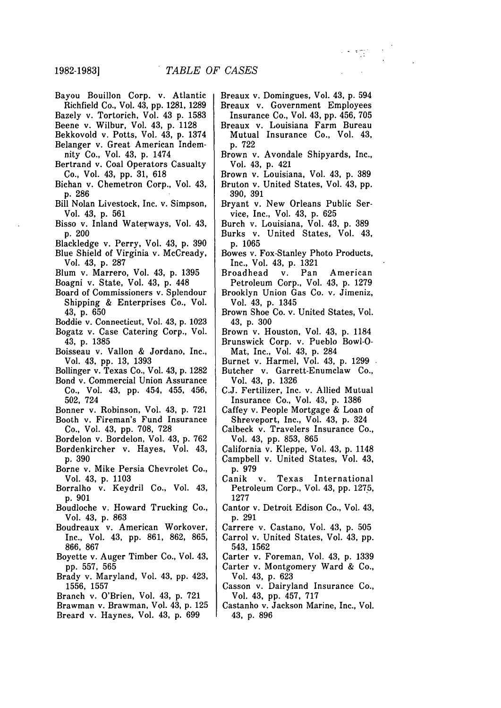- Bayou Bouillon Corp. v. Atlantic
- Richfield Co., Vol. 43, pp. 1281, 1289 Bazely v. Tortorich, Vol. 43 p. 1583
- Beene v. Wilbur, Vol. 43, p. 1128
- Bekkovold v. Potts, Vol. 43, p. 1374
- Belanger v. Great American Indem-
- nity Co., Vol. 43, p. 1474
- Bertrand v. Coal Operators Casualty Co., Vol. 43, pp. 31, 618
- Bichan v. Chemetron Corp., Vol. 43, p. 286
- Bill Nolan Livestock, Inc. v. Simpson, Vol. 43, p. 561
- Bisso v. Inland Waterways, Vol. 43, p. 200
- Blackledge v. Perry, Vol. 43, p. 390
- Blue Shield of Virginia v. McCready, Vol. 43, p. 287
- Blum v. Marrero, Vol. 43, p. 1395
- Boagni v. State, Vol. 43, p. 448
- Board of Commissioners v. Splendour Shipping & Enterprises Co., Vol. 43, p. 650
- Boddie v. Connecticut, Vol. 43, p. 1023
- Bogatz v. Case Catering Corp., Vol. 43, p. 1385
- Boisseau v. Vallon & Jordano, Inc., Vol. 43, pp. 13, 1393
- Bollinger v. Texas Co., Vol. 43, p. 1282
- Bond v. Commercial Union Assurance Co., Vol. 43, pp. 454, 455, 456, 502, 724
- Bonner v. Robinson, Vol. 43, p. 721 Booth v. Fireman's Fund Insurance
- Co., Vol. 43, pp. 708, 728 Bordelon v. Bordelon, Vol. 43, p. 762
- Bordenkircher v. Hayes, Vol. 43, **p,** 390
- Borne v. Mike Persia Chevrolet Co., Vol. 43, p. 1103
- Borralho v. Keydril Co., Vol. 43, p. 901
- Boudloche v. Howard Trucking Co., Vol. 43, p. 863
- Boudreaux v. American Workover, Inc., Vol. 43, pp. 861, 862, 865, 866, 867
- Boyette v. Auger Timber Co., Vol. 43, pp. 557, 565
- Brady v. Maryland, Vol. 43, pp. 423, 1556, 1557
- Branch v. O'Brien, Vol. 43, p. 721
- Brawman v. Brawman, Vol. 43, p. 125
- Breard v. Haynes, Vol. 43, p. 699

Breaux v. Domingues, Vol. 43, **p.** 594 Breaux v. Government Employees

t sitt

- Insurance Co., Vol. 43, pp. 456, 705 Breaux v. Louisiana Farm Bureau Mutual Insurance Co., Vol. 43, p. 722
- Brown v. Avondale Shipyards, Inc., Vol. 43, p. 421
- Brown v. Louisiana, Vol. 43, p. 389 Bruton v. United States, Vol. 43, pp.
- 390, 391 Bryant v. New Orleans Public Service, Inc., Vol. 43, p. 625
- Burch v. Louisiana, Vol. 43, p. 389 Burks v. United States, Vol. 43, p. 1065
- Bowes v. Fox-Stanley Photo Products, Inc., Vol. 43, p. 1321
- Broadhead v. Pan American Petroleum Corp., Vol. 43, p. 1279
- Brooklyn Union Gas Co. v. Jimeniz, Vol. 43, p. 1345
- Brown Shoe Co. v. United States, Vol. 43, p. 300
- Brown v. Houston, Vol. 43, p. 1184 Brunswick Corp. v. Pueblo Bowl-O-
- Mat, Inc., Vol. 43, p. 284
- Burnet v. Harmel, Vol. 43, p. 1299 Butcher v. Garrett-Enumclaw Co.,
- Vol. 43, p. 1326 C.J. Fertilizer, Inc. v. Allied Mutual Insurance Co., Vol. 43, p. 1386
- Caffey v. People Mortgage & Loan of Shreveport, Inc., Vol. 43, p. 324
- Calbeck v. Travelers Insurance Co., Vol. 43, pp. 853, 865
- California v. Kleppe, Vol. 43, p. 1148 Campbell v. United States, Vol. 43,
- p. 979 Canik v. Texas International
- Petroleum Corp., Vol. 43, pp. 1275, 1277
- Cantor v. Detroit Edison Co., Vol. 43, p. 291
- Carrere v. Castano, Vol. 43, p. 505
- Carrol v. United States, Vol. 43, pp. 543, 1562
- Carter v. Foreman, Vol. 43, p. 1339 Carter v. Montgomery Ward & Co., Vol. 43, p. 623
- Casson v. Dairyland Insurance Co., Vol. 43, pp. 457, 717
- Castanho v. Jackson Marine, Inc., Vol. 43, p. 896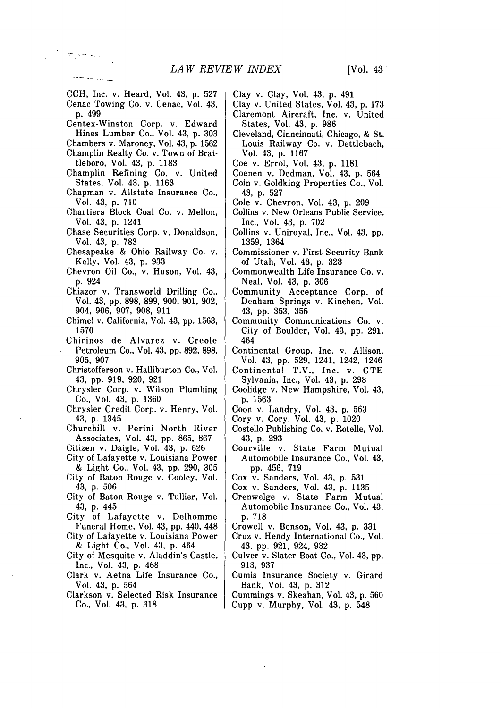CCH, Inc. v. Heard, Vol. 43, p. 527 Cenac Towing Co. v. Cenac, Vol. 43, p. 499

 $\sigma$  ,  $\sigma$  ,  $\sigma$  ,  $\sigma$ 

Centex-Winston Corp. v. Edward Hines Lumber Co., Vol. 43, p. 303

Chambers v. Maroney, Vol. 43, p. 1562 Champlin Realty Co. v. Town of Brat-

- tleboro, Vol. 43, p. 1183 Champlin Refining Co. v. United States, Vol. 43, p. 1163
- Chapman v. Allstate Insurance Co., Vol. 43, p. 710
- Chartiers Block Coal Co. v. Mellon, Vol. 43, p. 1241
- Chase Securities Corp. v. Donaldson, Vol. 43, p. 783
- Chesapeake & Ohio Railway Co. v. Kelly, Vol. 43, p. 933
- Chevron Oil Co., v. Huson, Vol. 43, p. 924
- Chiazor v. Transworld Drilling Co., Vol. 43, pp. 898, 899, 900, 901, 902, 904, 906, 907, 908, 911
- Chimel v. California, Vol. 43, pp. 1563, 1570
- Chirinos de Alvarez v. Creole Petroleum Co., Vol. 43, pp. 892, 898, 905, 907
- Christofferson v. Halliburton Co., Vol. 43, pp. 919, 920, 921
- Chrysler Corp. v. Wilson Plumbing Co., Vol. 43, p. 1360
- Chrysler Credit Corp. v. Henry, Vol. 43, p. 1345
- Churchill v. Perini North River Associates, Vol. 43, pp. 865, 867
- Citizen v. Daigle, Vol. 43, p. 626
- City of Lafayette v. Louisiana Power & Light Co., Vol. 43, pp. 290, 305
- City of Baton Rouge v. Cooley, Vol. 43, p. 506
- City of Baton Rouge v. Tullier, Vol. 43, p. 445
- City of Lafayette v. Delhomme Funeral Home, Vol. 43, pp. 440, 448
- City of Lafayette v. Louisiana Power & Light Co., Vol. 43, p. 464
- City of Mesquite v. Aladdin's Castle, Inc., Vol. 43, p. 468
- Clark v. Aetna Life Insurance Co., Vol. 43, p. 564
- Clarkson v. Selected Risk Insurance Co., Vol. 43, p. 318
- Clay v. Clay, Vol. 43, p. 491
- Clay v. United States, Vol. 43, p. 173 Claremont Aircraft, Inc. v. United
- States, Vol. 43, p. 986 Cleveland, Cinncinnati, Chicago, & St. Louis Railway Co. v. Dettlebach, Vol. 43, p. 1167
- Coe v. Errol, Vol. 43, p. 1181
- Coenen v. Dedman, Vol. 43, p. 564
- Coin v. Goldking Properties Co., Vol. 43, p. 527
- Cole v. Chevron, Vol. 43, p. 209
- Collins v. New Orleans Public Service, Inc., Vol. 43, p. 702
- Collins v. Uniroyal, Inc., Vol. 43, pp. 1359, 1364
- Commissioner v. First Security Bank of Utah, Vol. 43, p. 323
- Commonwealth Life Insurance Co. v. Neal, Vol. 43, p. 306
- Community Acceptance Corp. of Denham Springs v. Kinchen, Vol. 43, pp. 353, 355
- Community Communications Co. v. City of Boulder, Vol. 43, pp. 291, 464
- Continental Group, Inc. v. Allison, Vol. 43, pp. 529, 1241, 1242, 1246
- Continental T.V., Inc. v. GTE Sylvania, Inc., Vol. 43, p. 298
- Coolidge v. New Hampshire, Vol. 43, p. 1563
- Coon v. Landry, Vol. 43, p. 563
- Cory v. Cory, Vol. 43, p. 1020
- Costello Publishing Co. v. Rotelle, Vol. 43, p. 293
- Courville v. State Farm Mutual Automobile Insurance Co., Vol. 43, pp. 456, 719
- Cox v. Sanders, Vol. 43, p. 531
- Cox v. Sanders, Vol. 43, p. 1135
- Crenwelge v. State Farm Mutual Automobile Insurance Co., Vol. 43, p. 718
- Crowell v. Benson, Vol. 43, p. 331
- Cruz v. Hendy International Co., Vol. 43, pp. 921, 924, 932
- Culver v. Slater Boat Co., Vol. 43, pp. 913, 937
- Cumis Insurance Society v. Girard Bank, Vol. 43, p. 312
- Cummings v. Skeahan, Vol. 43, p. 560 Cupp v. Murphy, Vol. 43, p. 548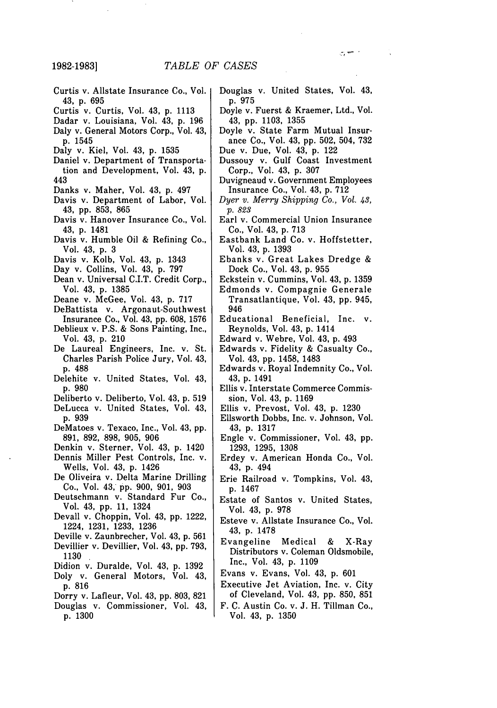**1982-1983]**

- Curtis v. Allstate Insurance Co., Vol. 43, p. 695
- Curtis v. Curtis, Vol. 43, p. 1113
- Dadar v. Louisiana, Vol. 43, p. 196 Daly v. General Motors Corp., Vol. 43, p. 1545
- Daly v. Kiel, Vol. 43, p. 1535
- Daniel v. Department of Transportation and Development, Vol. 43, p. 443
- Danks v. Maher, Vol. 43, p. 497
- Davis v. Department of Labor, Vol. 43, pp. 853, 865
- Davis v. Hanover Insurance Co., Vol. 43, p. 1481
- Davis v. Humble Oil & Refining Co., Vol. 43, p. 3
- Davis v. Kolb, Vol. 43, p. 1343
- Day v. Collins, Vol. 43, p. 797
- Dean v. Universal C.I.T. Credit Corp., Vol. 43, p. 1385
- Deane v. McGee, Vol. 43, p. 717
- DeBattista v. Argonaut-Southwest Insurance Co., Vol. 43, pp. 608, 1576
- Deblieux v. P.S. & Sons Painting, Inc., Vol. 43, p. 210
- De Laureal Engineers, Inc. v. St. Charles Parish Police Jury, Vol. 43, p. 488
- Delehite v. United States, Vol. 43, p. 980
- Deliberto v. Deliberto, Vol. 43, p. 519
- DeLucca v. United States, Vol. 43, p. 939
- DeMatoes v. Texaco, Inc., Vol. 43, pp. 891, 892, 898, 905, 906
- Denkin v. Sterner, Vol. 43, p. 1420
- Dennis Miller Pest Controls, Inc. v.
- Wells, Vol. 43, p. 1426 De Oliveira v. Delta Marine Drilling
- Co., Vol. 43, pp. 900, 901, 903
- Deutschmann v. Standard Fur Co., Vol. 43, pp. 11, 1324
- Devall v. Choppin, Vol. 43, pp. 1222, 1224, 1231, 1233, 1236
- Deville v. Zaunbrecher, Vol. 43, p. 561
- Devillier v. Devillier, Vol. 43, pp. 793, 1130
- Didion v. Duralde, Vol. 43, p. 1392
- Doly v. General Motors, Vol. 43,
- p. 816
- Dorry v. Lafleur, Vol. 43, pp. 803, 821 Douglas v. Commissioner, Vol. 43,
- p. 1300

Douglas v. United States, Vol. 43, p. 975

المستبرجين

- Doyle v. Fuerst & Kraemer, Ltd., Vol. 43, pp. 1103, 1355
- Doyle v. State Farm Mutual Insurance Co., Vol. 43, pp. 502, 504, 732
- Due v. Due, Vol. 43, p. 122
- Dussouy v. Gulf Coast Investment Corp., Vol. 43, p. 307
- Duvigneaud v. Government Employees Insurance Co., Vol. 43, p. 712
- *Dyer v. Merry Shipping Co., Vol. 43, p.* 823
- Earl v. Commercial Union Insurance Co., Vol. 43, p. 713
- Eastbank Land Co. v. Hoffstetter, Vol. 43, p. 1393
- Ebanks v. Great Lakes Dredge & Dock Co., Vol. 43, p. 955
- Eckstein v. Cummins, Vol. 43, p. 1359
- Edmonds v. Compagnie Generale Transatlantique, Vol. 43, pp. 945, 946
- Educational Beneficial, Inc. v. Reynolds, Vol. 43, p. 1414
- Edward v. Webre, Vol. 43, p. 493
- Edwards v. Fidelity & Casualty Co., Vol. 43, pp. 1458, 1483
- Edwards v. Royal Indemnity Co., Vol. 43, p. 1491
- Ellis v. Interstate Commerce Commission, Vol. 43, p. 1169
- Ellis v. Prevost, Vol. 43, p. 1230
- Ellsworth Dobbs, Inc. v. Johnson, Vol. 43, p. 1317
- Engle v. Commissioner, Vol. 43, pp. 1293, 1295, 1308
- Erdey v. American Honda Co., Vol. 43, p. 494
- Erie Railroad v. Tompkins, Vol. 43, p. 1467
- Estate of Santos v. United States, Vol. 43, p. 978
- Esteve v. Allstate Insurance Co., Vol. 43, p. 1478
- Evangeline Medical & X-Ray Distributors v. Coleman Oldsmobile, Inc., Vol. 43, p. 1109
- Evans v. Evans, Vol. 43, p. 601
- Executive Jet Aviation, Inc. v. City of Cleveland, Vol. 43, pp. 850, 851
- F. C. Austin Co. v. J. H. Tillman Co., Vol. 43, p. 1350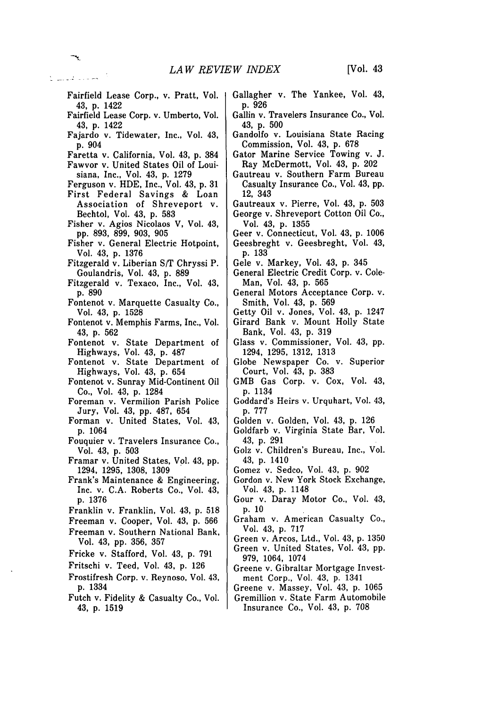- Fairfield Lease Corp., v. Pratt, Vol. 43, **p.** 1422
- Fairfield Lease Corp. v. Umberto, Vol. 43, p. 1422
- Fajardo v. Tidewater, Inc., Vol. 43, p. 904
- Faretta v. California, Vol. 43, p. 384
- Fawvor v. United States Oil of Louisiana, Inc., Vol. 43, p. 1279
- Ferguson v. HDE, Inc., Vol. 43, p. 31
- First Federal Savings & Loan Association of Shreveport v. Bechtol, Vol. 43, p. 583
- Fisher v. Agios Nicolaos V, Vol. 43, pp. 893, 899, 903, 905
- Fisher v. General Electric Hotpoint, Vol. 43, p. 1376
- Fitzgerald v. Liberian S/T Chryssi P. Goulandris, Vol. 43, p. **889**
- Fitzgerald v. Texaco, Inc., Vol. 43, **p. 890**
- Fontenot v. Marquette Casualty Co., Vol. 43, p. 1528
- Fontenot v. Memphis Farms, Inc., Vol. 43, p. 562
- Fontenot v. State Department of Highways, Vol. 43, p. 487
- Fontenot v. State Department of Highways, Vol. 43, p. 654
- Fontenot v. Sunray Mid-Continent Oil Co., Vol. 43, p. 1284
- Foreman v. Vermilion Parish Police Jury, Vol. 43, pp. 487, 654
- Forman v. United States, Vol. 43, p. 1064
- Fouquier v. Travelers Insurance Co., Vol. 43, p. 503
- Framar v. United States, Vol. 43, pp. 1294, 1295, 1308, 1309
- Frank's Maintenance & Engineering, Inc. v. C.A. Roberts Co., Vol. 43, p. 1376
- Franklin v. Franklin, Vol. 43, p. 518
- Freeman v. Cooper, Vol. 43, p. 566
- Freeman v. Southern National Bank, Vol. 43, pp. 356, 357
- Fricke v. Stafford, Vol. 43, p. 791
- Fritschi v. Teed, Vol. 43, p. 126
- Frostifresh Corp. v. Reynoso, Vol. 43, p. 1334
- Futch v. Fidelity & Casualty Co., Vol. 43, p. 1519
- Gallagher v. The Yankee, Vol. 43, p. 926
- Gallin v. Travelers Insurance Co., Vol. 43, p. 500
- Gandolfo v. Louisiana State Racing Commission, Vol. 43, p. 678
- Gator Marine Service Towing v. J. Ray McDermott, Vol. 43, p. 202
- Gautreau v. Southern Farm Bureau Casualty Insurance Co., Vol. 43, pp. 12, 343
- Gautreaux v. Pierre, Vol. 43, p. 503 George v. Shreveport Cotton Oil Co., Vol. 43, p. 1355
- Geer v. Connecticut, Vol. 43, p. 1006 Geesbreght v. Geesbreght, Vol. 43, p. 133
- Gele v. Markey, Vol. 43, p. 345
- General Electric Credit Corp. v. Cole-Man, Vol. 43, p. 565
- General Motors Acceptance Corp. v. Smith, Vol. 43, p. 569
- Getty Oil v. Jones, Vol. 43, p. 1247
- Girard Bank v. Mount Holly State Bank, Vol. 43, p. 319
- Glass v. Commissioner, Vol. 43, pp. 1294, 1295, 1312, 1313
- Globe Newspaper Co. v. Superior Court, Vol. 43, p. 383
- GMB Gas Corp. v. Cox, Vol. 43, p. 1134
- Goddard's Heirs v. Urquhart, Vol. 43, p. 777
- Golden v. Golden, Vol. 43, p. 126
- Goldfarb v. Virginia State Bar, Vol. 43, p. 291
- Golz v. Children's Bureau, Inc., Vol. 43, p. 1410
- Gomez v. Sedco, Vol. 43, p. 902
- Gordon v. New York Stock Exchange, Vol. 43, p. 1148
- Gour v. Daray Motor Co., Vol. 43, p. <sup>10</sup>
- Graham v. American Casualty Co., Vol. 43, p. 717
- Green v. Arcos, Ltd., Vol. 43, p. 1350
- Green v. United States, Vol. 43, pp. 979, 1064, 1074
- Greene v. Gibraltar Mortgage Investment Corp., Vol. 43, p. 1341
- Greene v. Massey, Vol. 43, p. 1065
- Gremillion v. State Farm Automobile Insurance Co., Vol. 43, p. 708

الخلاصات فليست كا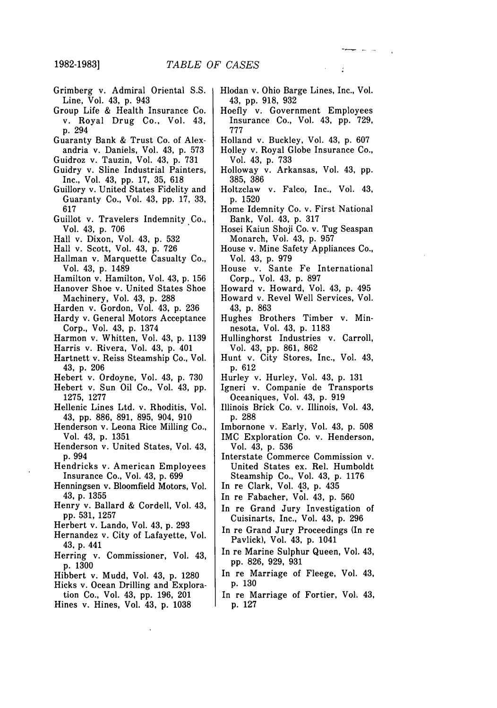**1982-19831**

- Grimberg v. Admiral Oriental S.S. Line, Vol. 43, p. 943
- Group Life & Health Insurance Co. v. Royal Drug Co., Vol. 43, p. 294
- Guaranty Bank & Trust Co. of Alexandria v. Daniels, Vol. 43, p. 573
- Guidroz v. Tauzin, Vol. 43, p. 731
- Guidry v. Sline Industrial Painters, Inc., Vol. 43, pp. 17, 35, 618
- Guillory v. United States Fidelity and Guaranty Co., Vol. 43, pp. 17, 33, 617
- Guillot v. Travelers Indemnity Co., Vol. 43, p. 706
- Hall v. Dixon, Vol. 43, p. 532
- Hall v. Scott, Vol. 43, p. 726
- Hallman v. Marquette Casualty Co., Vol. 43, p. 1489
- Hamilton v. Hamilton, Vol. 43, p. 156
- Hanover Shoe v. United States Shoe Machinery, Vol. 43, p. 288
- Harden v. Gordon, Vol. 43, p. 236
- Hardy v. General Motors Acceptance Corp., Vol. 43, p. 1374
- Harmon v. Whitten, Vol. 43, p. 1139
- Harris v. Rivera, Vol. 43, p. 401
- Hartnett v. Reiss Steamship Co., Vol. 43, p. 206
- Hebert v. Ordoyne, Vol. 43, p. 730 Hebert v. Sun Oil Co., Vol. 43, pp.
- 1275, 1277
- Hellenic Lines Ltd. v. Rhoditis, Vol. 43, pp. 886, 891, 895, 904, 910
- Henderson v. Leona Rice Milling Co., Vol. 43, p. 1351
- Henderson v. United States, Vol. 43, p. 994
- Hendricks v. American Employees Insurance Co., Vol. 43, p. 699
- Henningsen v. Bloomfield Motors, Vol. 43, p. 1355
- Henry v. Ballard & Cordell, Vol. 43, pp. 531, 1257
- Herbert v. Lando, Vol. 43, p. 293
- Hernandez v. City of Lafayette, Vol. 43, p. 441
- Herring v. Commissioner, Vol. 43, p. 1300
- Hibbert v. Mudd, Vol. 43, p. 1280
- Hicks v. Ocean Drilling and Explora-
- tion Co., Vol. 43, pp. 196, 201
- Hines v. Hines, Vol. 43, p. 1038
- Hlodan v. Ohio Barge Lines, Inc., Vol. 43, pp. 918, 932
- Hoefly v. Government Employees Insurance Co., Vol. 43, pp. 729, 777
- Holland v. Buckley, Vol. 43, p. 607
- Holley v. Royal Globe Insurance Co., Vol. 43, p. 733
- Holloway v. Arkansas, Vol. 43, pp. 385, 386
- Holtzclaw v. Falco, Inc., Vol. 43, p. 1520
- Home Idemnity Co. v. First National Bank, Vol. 43, p. 317
- Hosei Kaiun Shoji Co. v. Tug Seaspan Monarch, Vol. 43, p. 957
- House v. Mine Safety Appliances Co., Vol. 43, p. 979
- House v. Sante Fe International Corp., Vol. 43, p. 897
- Howard v. Howard, Vol. 43, p. 495 Howard v. Revel Well Services, Vol. 43, p. 863
- Hughes Brothers Timber v. Minnesota, Vol. 43, p. 1183
- Hullinghorst Industries v. Carroll, Vol. 43, pp. 861, 862
- Hunt v. City Stores, Inc., Vol. 43, p. 612
- Hurley v. Hurley, Vol. 43, p. 131
- Igneri v. Companie de Transports Oceaniques, Vol. 43, p. 919
- Illinois Brick Co. v. Illinois, Vol. 43, p. 288
- Imbornone v. Early, Vol. 43, p. 508
- IMC Exploration Co. v. Henderson, Vol. 43, p. 536
- Interstate Commerce Commission v. United States ex. Rel. Humboldt Steamship Co., Vol. 43, p. 1176
- In re Clark, Vol. 43, p. 435
- In re Fabacher, Vol. 43, p. 560
- In re Grand Jury Investigation of Cuisinarts, Inc., Vol. 43, p. 296
- In re Grand Jury Proceedings (In re Pavlick), Vol. 43, p. 1041
- In re Marine Sulphur Queen, Vol. 43, pp. 826, 929, 931
- In re Marriage of Fleege, Vol. 43, p. 130
- In re Marriage of Fortier, Vol. 43, p. 127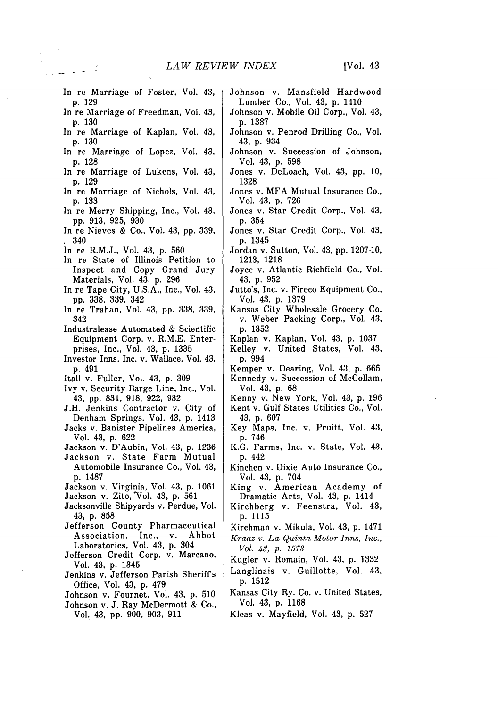- In re Marriage of Foster, Vol. 43, p. 129
- In re Marriage of Freedman, Vol. 43, p. 130
- In re Marriage of Kaplan, Vol. 43, p. 130
- In re Marriage of Lopez, Vol. 43, p. 128
- In re Marriage of Lukens, Vol. 43, p. 129
- In re Marriage of Nichols, Vol. 43, p. 133
- In re Merry Shipping, Inc., Vol. 43, pp. 913, 925, 930
- In re Nieves & Co., Vol. 43, pp. 339, **1** 340
- In re R.M.J., Vol. 43, p. 560
- In re State of Illinois Petition to Inspect and Copy Grand Jury Materials, Vol. 43, p. 296
- In re Tape City, U.S.A., Inc., Vol. 43, pp. 338, 339, 342
- In re Trahan, Vol. 43, pp. 338, 339, 342
- Industralease Automated & Scientific Equipment Corp. v. R.M.E. Enterprises, Inc., Vol. 43, p. 1335
- Investor Inns, Inc. v. Wallace, Vol. 43, p. 491
- Itall v. Fuller, Vol. 43, p. 309
- Ivy v. Security Barge Line, Inc., Vol. 43, pp. 831, 918, 922, 932
- J.H. Jenkins Contractor v. City of Denham Springs, Vol. 43, p. 1413
- Jacks v. Banister Pipelines America, Vol. 43, p. 622
- Jackson v. D'Aubin, Vol. 43, p. 1236

Jackson v. Zito, Vol. 43, p. 561 Jacksonville Shipyards v. Perdue, Vol.

Jefferson County Pharmaceutical Association, Inc., v. Abbot Laboratories, Vol. 43, p. 304 Jefferson Credit Corp. v. Marcano,

Jenkins v. Jefferson Parish Sheriffs

p. 1487

43, p. 858

Vol. 43, p. 1345

Office, Vol. 43, p. 479

Vol. 43, pp. 900, 903, 911

Automobile Insurance Co., Vol. 43,

- Jackson v. State Farm Mutual
	- Kinchen v. Dixie Auto Insurance Co.,
		- King v. American Academy of
		- Kirchberg v. Feenstra, Vol. 43, p. 1115
		- Kirchman v. Mikula, Vol. 43, p. 1471
		- *Kraaz v. La Quinta Motor Inns, Inc., Vol. 43, p. 1573*
		- Kugler v. Romain, Vol. 43, p. 1332
		- Langlinais v. Guillotte, Vol. 43, p. 1512
- Johnson v. Fournet, Vol. 43, p. 510 Johnson v. J. Ray McDermott & Co., Kansas City Ry. Co. v. United States, Vol. 43, p. 1168
	- Kleas v. Mayfield, Vol. 43, p. 527
- Johnson v. Mansfield Hardwood Lumber Co., Vol. 43, p. 1410
	- Johnson v. Mobile Oil Corp., Vol. 43, p. 1387
	- Johnson v. Penrod Drilling Co., Vol. 43, p. 934
	- Johnson v. Succession of Johnson, Vol. 43, p. 598
	- Jones v. DeLoach, Vol. 43, pp. 10, 1328
	- Jones v. MFA Mutual Insurance Co., Vol. 43, p. 726
	- Jones v. Star Credit Corp., Vol. 43, p. 354
	- Jones v. Star Credit Corp., Vol. 43, p. 1345
	- Jordan v. Sutton, Vol. 43, pp. 1207-10, 1213, 1218
	- Joyce v. Atlantic Richfield Co., Vol. 43, p. 952
	- Jutto's, Inc. v. Fireco Equipment Co., Vol. 43, p. 1379
	- Kansas City Wholesale Grocery Co. v. Weber Packing Corp., Vol. 43, p. 1352
	- Kaplan v. Kaplan, Vol. 43, p. 1037
	- Kelley v. United States, Vol. 43, p. 994
	- Kemper v. Dearing, Vol. 43, p. 665 Kennedy v. Succession of McCollam, Vol. 43, p. 68
	- Kenny v. New York, Vol. 43, p. 196 Kent v. Gulf States Utilities Co., Vol. 43, p. 607
	- Key Maps, Inc. v. Pruitt, Vol. 43, p. 746
	- K.G. Farms, Inc. v. State, Vol. 43, p. 442
	- Vol. 43, p. 704
	- Dramatic Arts, Vol. 43, p. 1414
- Jackson v. Virginia, Vol. 43, p. 1061
	- -
	- -
	-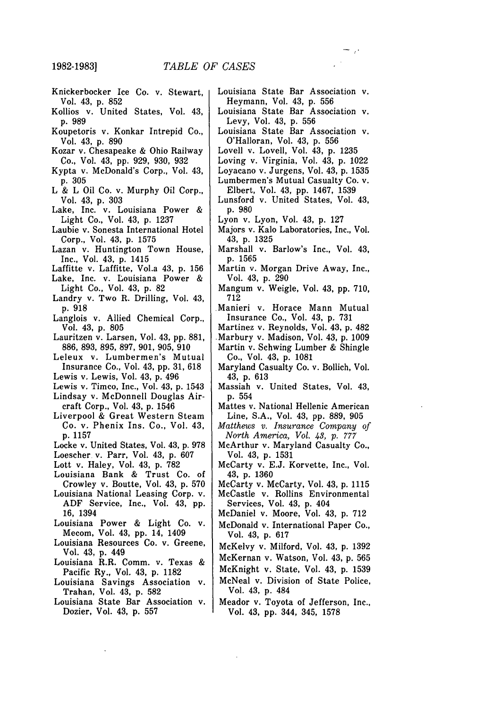- Knickerbocker Ice Co. v. Stewart, Vol. 43, p. 852
- Kollios v. United States, Vol. 43, p. 989
- Koupetoris v. Konkar Intrepid Co., Vol. 43, p. 890
- Kozar v. Chesapeake & Ohio Railway Co., Vol. 43, pp. 929, 930, 932
- Kypta v. McDonald's Corp., Vol. 43, p. 305
- L & L Oil Co. v. Murphy Oil Corp., Vol. 43, p. 303
- Lake, Inc. v. Louisiana Power & Light Co., Vol. 43, p. 1237
- Laubie v. Sonesta International Hotel Corp., Vol. 43, p. 1575
- Lazan v. Huntington Town House, Inc., Vol. 43, p. 1415
- Laffitte v. Laffitte, Vol.a 43, p. 156
- Lake, Inc. v. Louisiana Power &
- Light Co., Vol. 43, p. 82 Landry v. Two R. Drilling, Vol. 43,
- p. 918 Langlois v. Allied Chemical Corp., Vol. 43, p. 805
- Lauritzen v. Larsen, Vol. 43, pp. 881, 886, 893, 895, 897, 901, 905, 910
- Leleux v. Lumbermen's Mutual Insurance Co., Vol. 43, pp. 31, 618
- Lewis v. Lewis, Vol. 43, p. 496
- Lewis v. Timco, Inc., Vol. 43, p. 1543
- Lindsay v. McDonnell Douglas Air-
- craft Corp., Vol. 43, p. 1546
- Liverpool & Great Western Steam Co. v. Phenix Ins. Co., Vol. 43, p. 1157
- Locke v. United States, Vol. 43, p. 978
- Loescher v. Parr, Vol. 43, p. 607
- Lott v. Haley, Vol. 43, p. 782
- Louisiana Bank & Trust Co. of Crowley v. Boutte, Vol. 43, p. 570
- Louisiana National Leasing Corp. v. ADF Service, Inc., Vol. 43, pp. 16, 1394
- Louisiana Power & Light Co. v. Mecom, Vol. 43, pp. 14, 1409
- Louisiana Resources Co. v. Greene, Vol. 43, p. 449
- Louisiana R.R. Comm. v. Texas & Pacific Ry., Vol. 43, p. 1182
- Louisiana Savings Association v. Trahan, Vol. 43, p. 582
- Louisiana State Bar Association v. Dozier, Vol. 43, p. 557
- Louisiana State Bar Association v. Heymann, Vol. 43, p. 556
- Louisiana State Bar Association v. Levy, Vol. 43, p. 556
- Louisiana State Bar Association v. O'Halloran, Vol. 43, p. 556
- Lovell v. Lovell, Vol. 43, p. 1235
- Loving v. Virginia, Vol. 43, p. 1022
- Loyacano v. Jurgens, Vol. 43, p. 1535
- Lumbermen's Mutual Casualty Co. v. Elbert, Vol. 43, pp. 1467, 1539
- Lunsford v. United States, Vol. 43, p. 980
- Lyon v. Lyon, Vol. 43, p. 127
- Majors v. Kalo Laboratories, Inc., Vol. 43, p. 1325
- Marshall v. Barlow's Inc., Vol. 43, p. 1565
- Martin v. Morgan Drive Away, Inc., Vol. 43, p. 290
- Mangum v. Weigle, Vol. 43, pp. 710, 712
- Manieri v. Horace Mann Mutual Insurance Co., Vol. 43, **p.** 731
- Martinez v. Reynolds, Vol. 43, p. 482
- Marbury v. Madison, Vol. 43, p. 1009 Martin v. Schwing Lumber & Shingle Co., Vol. 43, p. 1081
- Maryland Casualty Co. v. Bollich, Vol. 43, p. 613
- Massiah v. United States, Vol. 43, p. 554
- Mattes v. National Hellenic American Line, S.A., Vol. 43, pp. 889, 905
- *Matthews v. Insurance Company of North America, Vol. 43, p.* 777
- McArthur v. Maryland Casualty Co., Vol. 43, p. 1531
- McCarty v. E.J. Korvette, Inc., Vol. 43, p. 1360
- McCarty v. McCarty, Vol. 43, p. 1115 McCastle v. Rollins Environmental Services, Vol. 43, p. 404
- McDaniel v. Moore, Vol. 43, p. 712
- McDonald v. International Paper Co., Vol. 43, p. 617
- McKelvy v. Milford, Vol. 43, p. 1392
- McKernan v. Watson, Vol. 43, p. 565
- McKnight v. State, Vol. 43, p. 1539
- McNeal v. Division of State Police, Vol. 43, p. 484
- Meador v. Toyota of Jefferson, Inc., Vol. 43, pp. 344, 345, 1578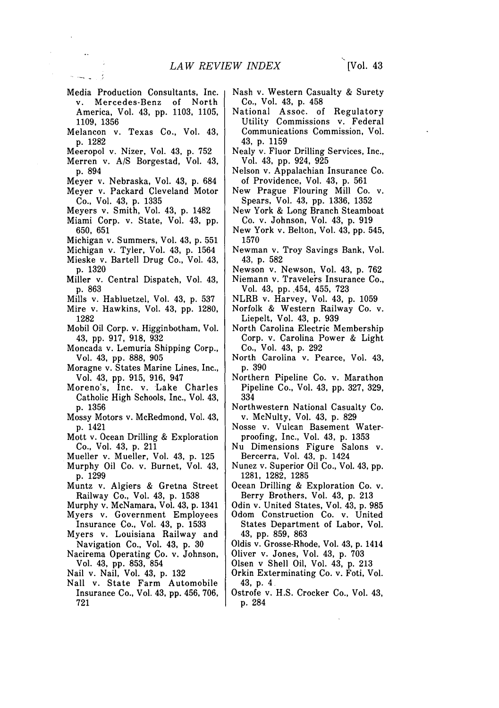[Vol. 43

Media Production Consultants, Inc. v. Mercedes-Benz of North America, Vol. 43, pp. 1103, 1105, 1109, 1356

management

- Melancon v. Texas Co., Vol. 43, p. 1282
- Meeropol v. Nizer, Vol. 43, p. 752
- Merren v. A/S Borgestad, Vol. 43, p. 894
- Meyer v. Nebraska, Vol. 43, p. 684
- Meyer v. Packard Cleveland Motor Co., Vol. 43, p. 1335
- Meyers v. Smith, Vol. 43, p. 1482
- Miami Corp. v. State, Vol. 43, pp. 650, 651
- Michigan v. Summers, Vol. 43, p. 551
- Michigan v. Tyler, Vol. 43, p. 1564
- Mieske v. Bartell Drug Co., Vol. 43, p. 1320
- Miller v. Central Dispatch, Vol. 43, p. 863
- Mills v. Habluetzel, Vol. 43, p. 537
- Mire v. Hawkins, Vol. 43, pp. 1280,
- 1282 Mobil Oil Corp. v. Higginbotham, Vol.
- 43, pp. 917, 918, 932 Moncada v. Lemuria Shipping Corp., Vol. 43, pp. 888, 905
- Moragne v. States Marine Lines, Inc., Vol. 43, pp. 915, 916, 947
- Moreno's, Inc. v. Lake Charles Catholic High Schools, Inc., Vol. 43, p. 1356
- Mossy Motors v. McRedmond, Vol. 43, p. 1421
- Mott v. Ocean Drilling & Exploration Co., Vol. 43, p. 211
- Mueller v. Mueller, Vol. 43, p. 125
- Murphy Oil Co. v. Burnet, Vol. 43, p. 1299
- Muntz v. Algiers & Gretna Street Railway Co., Vol. 43, p. 1538
- Murphy v. McNamara, Vol. 43, p. 1341
- Myers v. Government Employees
- Insurance Co., Vol. 43, p. 1533 Myers v. Louisiana Railway and
- Navigation Co., Vol. 43, p. 30
- Nacirema Operating Co. v. Johnson, Vol. 43, pp. 853, 854
- Nail v. Nail, Vol. 43, p. 132
- Nall v. State Farm Automobile Insurance Co., Vol. 43, pp. 456, 706, 721
- Nash v. Western Casualty & Surety Co., Vol. 43, p. 458
- National Assoc. of Regulatory Utility Commissions v. Federal Communications Commission, Vol. 43, p. 1159
- Nealy v. Fluor Drilling Services, Inc., Vol. 43, pp. 924, 925
- Nelson v. Appalachian Insurance Co. of Providence, Vol. 43, p. 561
- New Prague Flouring Mill Co. v. Spears, Vol. 43, pp. 1336, 1352
- New York & Long Branch Steamboat Co. v. Johnson, Vol. 43, p. 919
- New York v. Belton, Vol. 43, pp. 545, 1570
- Newman v. Troy Savings Bank, Vol. 43, p. 582
- Newson v. Newson, Vol. 43, p. 762
- Niemann v. Travelers Insurance Co., Vol. 43, pp. 454, 455, 723
- NLRB v. Harvey, Vol. 43, p. 1059
- Norfolk & Western Railway Co. v. Liepelt, Vol. 43, p. 939
- North Carolina Electric Membership Corp. v. Carolina Power & Light Co., Vol. 43, p. 292
- North Carolina v. Pearce, Vol. 43, p. 390
- Northern Pipeline Co. v. Marathon Pipeline Co., Vol. 43, pp. 327, 329, 334
- Northwestern National Casualty Co. v. McNulty, Vol. 43, p. 829
- Nosse v. Vulcan Basement Waterproofing, Inc., Vol. 43, p. 1353
- Nu Dimensions Figure Salons v. Bercerra, Vol. 43, p. 1424
- Nunez v. Superior Oil Co., Vol. 43, pp. 1281, 1282, 1285
- Ocean Drilling & Exploration Co. v. Berry Brothers, Vol. 43, p. 213
- Odin v. United States, Vol. 43, p. 985
- Odom Construction Co. v. United States Department of Labor, Vol. 43, pp. 859, 863
- Oldis v. Grosse-Rhode, Vol. 43, p. 1414
- Oliver v. Jones, Vol. 43, p. 703
- Olsen v Shell Oil, Vol. 43, p. 213
- Orkin Exterminating Co. v. Foti, Vol. 43, p. 4
- Ostrofe v. H.S. Crocker Co., Vol. 43, p. 284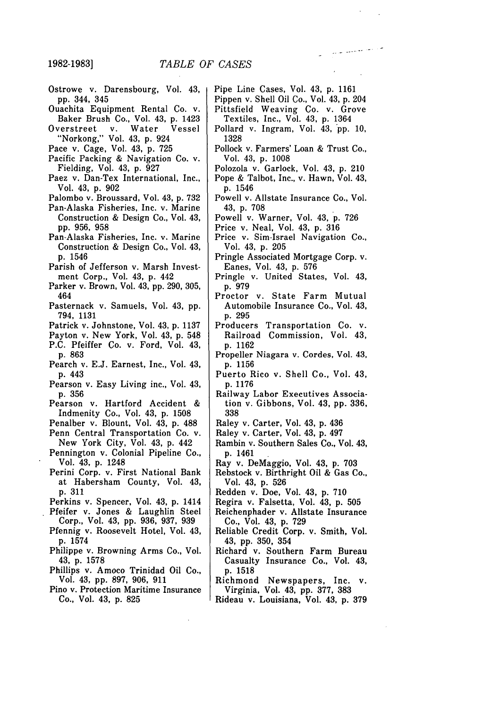**1982-1983]**

- Ostrowe v. Darensbourg, Vol. 43, pp. 344, 345
- Ouachita Equipment Rental Co. v. Baker Brush Co., Vol. 43, p. 1423
- Overstreet v. Water Vessel "Norkong," Vol. 43, p. 924
- Pace v. Cage, Vol. 43, p. 725
- Pacific Packing & Navigation Co. v. Fielding, Vol. 43, p. 927
- Paez v. Dan-Tex International, Inc., Vol. 43, p. 902
- Palombo v. Broussard, Vol. 43, p. 732 Pan-Alaska Fisheries, Inc. v. Marine
- Construction & Design Co., Vol. 43, pp. 956, 958
- Pan-Alaska Fisheries, Inc. v. Marine Construction & Design Co., Vol. 43, p. 1546
- Parish of Jefferson v. Marsh Investment Corp., Vol. 43, p. 442
- Parker v. Brown, Vol. 43, pp. 290, 305, 464
- Pasternack v. Samuels, Vol. 43, pp. 794, 1131
- Patrick v. Johnstone, Vol. 43, p. 1137
- Payton v. New York, Vol. 43, p. 548
- P.C. Pfeiffer Co. v. Ford, Vol. 43, p. 863
- Pearch v. E.J. Earnest, Inc., Vol. 43, p. 443
- Pearson v. Easy Living inc., Vol. 43, p. 356
- Pearson v. Hartford Accident & Indmenity Co., Vol. 43, p. 1508
- Penalber v. Blount, Vol. 43, p. 488 Penn Central Transportation Co. v.
- New York City, Vol. 43, p. 442 Pennington v. Colonial Pipeline Co.,
- Vol. 43, p. 1248
- Perini Corp. v. First National Bank at Habersham County, Vol. 43, p. 311
- Perkins v. Spencer, Vol. 43, p. 1414
- Pfeifer v. Jones & Laughlin Steel Corp., Vol. 43, pp. 936, 937, 939
	- Pfennig v. Roosevelt Hotel, Vol. 43, p. 1574
	- Philippe v. Browning Arms Co., Vol. 43, p. 1578
	- Phillips v. Amoco Trinidad Oil Co., Vol. 43, pp. 897, 906, 911
	- Pino v. Protection Maritime Insurance Co., Vol. 43, p. 825

Pipe Line Cases, Vol. 43, p. 1161

وللمراجع للمتعلم التنازل

- Pippen v. Shell Oil Co., Vol. 43, p. 204 Pittsfield Weaving Co. v. Grove
- Textiles, Inc., Vol. 43, p. 1364 Pollard v. Ingram, Vol. 43, pp. 10, 1328
- Pollock v. Farmers' Loan & Trust Co., Vol. 43, p. 1008
- Polozola v. Garlock, Vol. 43, p. 210
- Pope & Talbot, Inc., v. Hawn, Vol. 43, p. 1546
- Powell v. Allstate Insurance Co., Vol. 43, p. 708
- Powell v. Warner, Vol. 43, p. 726
- Price v. Neal, Vol. 43, p. 316
- Price v. Sim-Israel Navigation Co., Vol. 43, p. 205
- Pringle Associated Mortgage Corp. v. Eanes, Vol. 43, p. 576
- Pringle v. United States, Vol. 43, p. 979
- Proctor v. State Farm Mutual Automobile Insurance Co., Vol. 43, p. 295
- Producers Transportation Co. v. Railroad Commission, Vol. 43, p. 1162
- Propeller Niagara v. Cordes, Vol. 43, p. 1156
- Puerto Rico v. Shell Co., Vol. 43, p. 1176
- Railway Labor Executives Association v. Gibbons, Vol. 43, pp. 336, 338
- Raley v. Carter, Vol. 43, p. 436
- Raley v. Carter, Vol. 43, p. 497
- Rambin v. Southern Sales Co., Vol. 43, p. 1461
- Ray v. DeMaggio, Vol. 43, p. 703
- Rebstock v. Birthright Oil & Gas Co., Vol. 43, p. 526
- Redden v. Doe, Vol. 43, p. 710
- Regira v. Falsetta, Vol. 43, p. 505
- Reichenphader v. Allstate Insurance Co., Vol. 43, p. 729
- Reliable Credit Corp. v. Smith, Vol. 43, pp. 350, 354
- Richard v. Southern Farm Bureau Casualty Insurance Co., Vol. 43, p. 1518
- Richmond Newspapers, Inc. v. Virginia, Vol. 43, pp. 377, 383
- Rideau v. Louisiana, Vol. 43, p. 379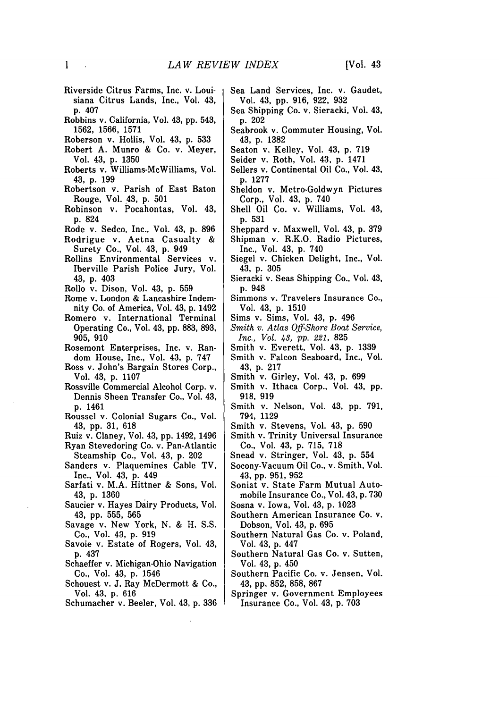- Riverside Citrus Farms, Inc. v. Louisiana Citrus Lands, Inc., Vol. 43, p. 407
- Robbins v. California, Vol. 43, pp. 543, 1562, 1566, 1571
- Roberson v. Hollis, Vol. 43, p. 533
- Robert A. Munro & Co. v. Meyer, Vol. 43, p. 1350
- Roberts v. Williams-McWilliams, Vol. 43, p. 199
- Robertson v. Parish of East Baton Rouge, Vol. 43, p. 501
- Robinson v. Pocahontas, Vol. 43, p. 824
- Rode v. Sedco, Inc., Vol. 43, p. 896 Rodrigue v. Aetna Casualty &
- Surety Co., Vol. 43, p. 949 Rollins Environmental Services v.
- Iberville Parish Police Jury, Vol. 43, p. 403
- Rollo v. Dison, Vol. 43, p. 559
- Rome v. London & Lancashire Indemnity Co. of America, Vol. 43, p. 1492
- Romero v. International Terminal Operating Co., Vol. 43, pp. 883, 893, 905, 910
- Rosemont Enterprises, Inc. v. Random House, Inc., Vol. 43, p. 747
- Ross v. John's Bargain Stores Corp., Vol. 43, p. 1107
- Rossville Commercial Alcohol Corp. v. Dennis Sheen Transfer Co., Vol. 43, p. 1461
- Roussel v. Colonial Sugars Co., Vol. 43, pp. 31, 618
- Ruiz v. Claney, Vol. 43, pp. 1492, 1496
- Ryan Stevedoring Co. v. Pan-Atlantic Steamship Co., Vol. 43, p. 202
- Sanders v. Plaquemines Cable TV, Inc., Vol. 43, p. 449
- Sarfati v. M.A. Hittner & Sons, Vol. 43, p. 1360
- Saucier v. Hayes Dairy Products, Vol. 43, pp. 555, 565
- Savage v. New York, N. & H. S.S. Co., Vol. 43, p. 919
- Savoie v. Estate of Rogers, Vol. 43, p. 437
- Schaeffer v. Michigan-Ohio Navigation Co., Vol. 43, p. 1546
- Schouest v. J. Ray McDermott & Co., Vol. 43, p. 616
- Schumacher v. Beeler, Vol. 43, p. 336
- Sea Land Services, Inc. v. Gaudet, Vol. 43, pp. 916, 922, 932
- Sea Shipping Co. v. Sieracki, Vol. 43, p. 202
- Seabrook v. Commuter Housing, Vol. 43, p. 1382
- Seaton v. Kelley, Vol. 43, p. 719
- Seider v. Roth, Vol. 43, p. 1471
- Sellers v. Continental Oil Co., Vol. 43, p. 1277
- Sheldon v. Metro-Goldwyn Pictures Corp., Vol. 43, p. 740
- Shell Oil Co. v. Williams, Vol. 43, p. 531
- Sheppard v. Maxwell, Vol. 43, p. 379
- Shipman v. R.K.O. Radio Pictures, Inc., Vol. 43, p. 740
- Siegel v. Chicken Delight, Inc., Vol. 43, p. 305
- Sieracki v. Seas Shipping Co., Vol. 43, p. 948
- Simmons v. Travelers Insurance Co., Vol. 43, p. 1510
- Sims v. Sims, Vol. 43, p. 496
- *Smith v. Atlas Off-Shore Boat Service, Inc., Vol. 43,* pp. 221, 825
- Smith v. Everett, Vol. 43, p. 1339
- Smith v. Falcon Seaboard, Inc., Vol. 43, p. 217
- Smith v. Girley, Vol. 43, p. 699
- Smith v. Ithaca Corp., Vol. 43, pp. 918, 919
- Smith v. Nelson, Vol. 43, pp. 791, 794, 1129
- Smith v. Stevens, Vol. 43, p. 590
- Smith v. Trinity Universal Insurance Co., Vol. 43, p. 715, 718
- Snead v. Stringer, Vol. 43, p. 554
- Socony-Vacuum Oil Co., v. Smith, Vol. 43, pp. 951, 952
- Soniat v. State Farm Mutual Automobile Insurance Co., Vol. 43, p. 730
- Sosna v. Iowa, Vol. 43, p. 1023
- Southern American Insurance Co. v. Dobson, Vol. 43, p. 695
- Southern Natural Gas Co. v. Poland, Vol. 43, p. 447
- Southern Natural Gas Co. v. Sutten, Vol. 43, p. 450
- Southern Pacific Co. v. Jensen, Vol. 43, pp. 852, 858, 867
- Springer v. Government Employees Insurance Co., Vol. 43, p. 703

 $\sim$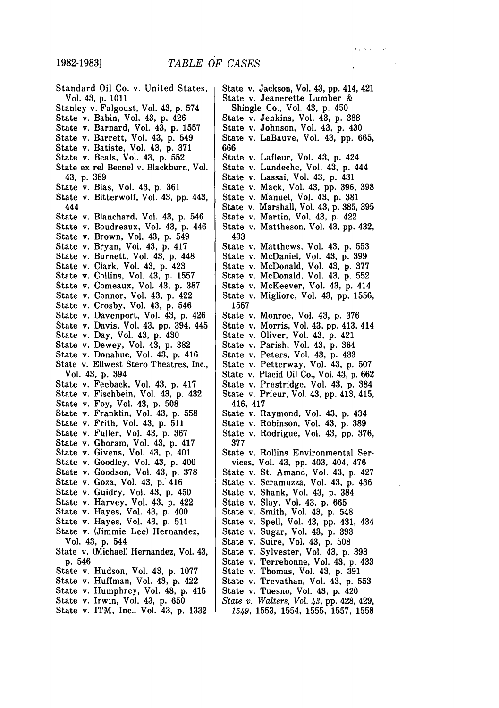**1982-1983]**

Standard Oil Co. v. United States, Vol. 43, **p.** 1011 Stanley v. Falgoust, Vol. 43, **p.** 574 State v. Babin, Vol. 43, **p.** 426 State v. Barnard, Vol. 43, **p. 1557** State v. Barrett, Vol. 43, **p.** 549 State v. Batiste, Vol. 43, **p. 371** State v. Beals, Vol. 43, **p. 552** State ex rel Becnel v. Blackburn, Vol. 43, **p. 389** State v. Bias, Vol. 43, **p. 361** State v. Bitterwolf, Vol. 43, **pp.** 443, 444 State v. Blanchard, Vol. 43, **p.** 546 State v. Boudreaux, Vol. 43, **p.** 446 State v. Brown, Vol. 43, **p.** 549 State v. Bryan, Vol. 43, **p.** 417 State v. Burnett, Vol. 43, **p.** 448 State v. Clark, Vol. 43, **p.** 423 State v. Collins, Vol. 43, **p. 1557** State v. Comeaux, Vol. 43, **p. 387** State v. Connor, Vol. 43, **p.** 422 State v. Crosby, Vol. 43, **p.** 546 State v. Davenport, Vol. 43, **p.** 426 State v. Davis, Vol. 43, **pp.** 394, 445 State v. Day, Vol. 43, **p.** 430 State v. Dewey, Vol. 43, **p. 382** State v. Donahue, Vol. 43, **p.** 416 State v. Ellwest Stero Theatres, Inc., Vol. 43, **p.** 394 State v. Feeback, Vol. 43, **p.** 417 State v. Fischbein, Vol. 43, **p.** 432 State v. Foy, Vol. 43, **p. 508** State v. Franklin, Vol. 43, **p. 558** State v. Frith, Vol. 43, **p. 511** State v. Fuller, Vol. 43, **p. 367** State v. Ghoram, Vol. 43, **p.** 417 State v. Givens, Vol. 43, **p.** 401 State v. Goodley, Vol. 43, **p.** 400 State v. Goodson, Vol. 43, **p. 378** State v. Goza, Vol. 43, **p.** 416 State v. Guidry, Vol. 43, **p.** 450 State v. Harvey, Vol. 43, **p.** 422 State v. Hayes, Vol. 43, **p.** 400 State v. Hayes, Vol. 43, **p. 511** State v. (Jimmie Lee) Hernandez, Vol. 43, **p.** 544 State v. (Michael) Hernandez, Vol. 43, **p.** 546 State v. Hudson, Vol. 43, **p. 1077** State v. Huffman, Vol. 43, **p.** 422 State v. Humphrey, Vol. 43, **p.** 415 State v. Irwin, Vol. 43, **p. 650** State v. ITM, Inc., Vol. 43, **p. 1332**

State v. Jackson, Vol. 43, **pp.** 414, 421 State v. Jeanerette Lumber & Shingle Co., Vol. 43, p. 450 State v. Jenkins, Vol. 43, p. 388 State v. Johnson, Vol. 43, p. 430 State v. LaBauve, Vol. 43, pp. 665, 666 State v. Lafleur, Vol. 43, p. 424 State v. Landeche, Vol. 43, p. 444 State v. Lassai, Vol. 43, p. 431 State v. Mack, Vol. 43, pp. 396, 398 State v. Manuel, Vol. 43, p. 381 State v. Marshall, Vol. 43, p. 385, 395 State v. Martin, Vol. 43, p. 422 State v. Mattheson, Vol. 43, pp. 432, 433 State v. Matthews, Vol. 43, p. 553 State v. McDaniel, Vol. 43, p. 399 State v. McDonald, Vol. 43, p. 377 State v. McDonald, Vol. 43, p. 552 State v. McKeever, Vol. 43, p. 414 State v. Migliore, Vol. 43, pp. 1556, 1557 State v. Monroe, Vol. 43, p. 376 State v. Morris, Vol. 43, pp. 413, 414 State v. Oliver, Vol. 43, p. 421 State v. Parish, Vol. 43, p. 364 State v. Peters, Vol. 43, p. 433 State v. Petterway, Vol. 43, p. 507 State v. Placid Oil Co., Vol. 43, p. 662 State v. Prestridge, Vol. 43, p. 384 State v. Prieur, Vol. 43, pp. 413, 415, 416, 417 State v. Raymond, Vol. 43, p. 434 State v. Robinson, Vol. 43, p. 389 State v. Rodrigue, Vol. 43, pp. 376, 377 State v. Rollins Environmental Services, Vol. 43, pp. 403, 404, 476 State v. St. Amand, Vol. 43, p. 427 State v. Scramuzza, Vol. 43, p. 436 State v. Shank, Vol. 43, p. 384 State v. Slay, Vol. 43, p. 665 State v. Smith, Vol. 43, p. 548 State v. Spell, Vol. 43, pp. 431, 434 State v. Sugar, Vol. 43, p. 393 State v. Suire, Vol. 43, p. 508 State v. Sylvester, Vol. 43, p. 393 State v. Terrebonne, Vol. 43, p. 433 State v. Thomas, Vol. 43, p. 391 State v. Trevathan, Vol. 43, p. 553 State v. Tuesno, Vol. 43, p. 420 *State v. Walters, Vol. 43,* pp. 428, 429, 1549, 1553, 1554, 1555, 1557, 1558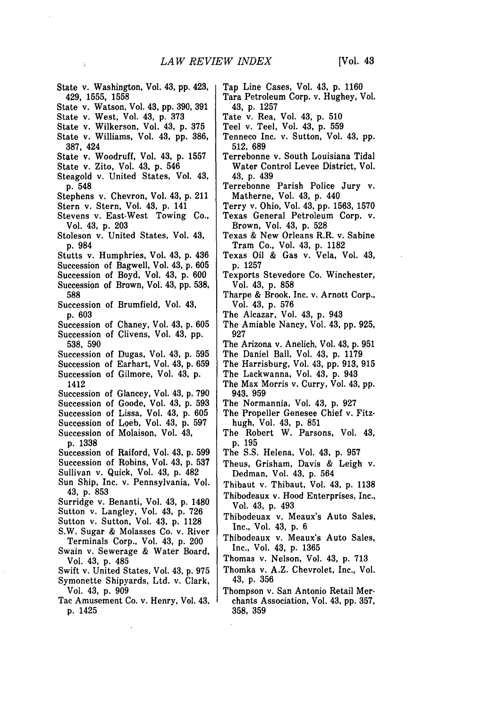State v. Washington, Vol. 43, **pp.** 423, 429, **1555, 1558** State v. Watson, Vol. 43, **pp. 390, 391** State v. West, Vol. 43, **p. 373** State v. Wilkerson, Vol. 43, **p. 375** State v. Williams, Vol. 43, **pp. 386, 387,** 424 State v. Woodruff, Vol. 43, **p. 1557** State v. Zito, Vol. 43, **p.** 546 Steagold v. United States, Vol. 43, **p.** 548 Stephens v. Chevron, Vol. 43, **p.** 211 Stern v. Stern, Vol. 43, **p.** 141 Stevens v. East-West Towing Co., Vol. 43, **p. 203** Stoleson v. United States, Vol. 43, **p.** 984 Stutts v. Humphries, Vol. 43, **p.** 436 Succession of Bagwell, Vol. 43, **p. 605** Succession of Boyd, Vol. 43, **p. 600** Succession of Brown, Vol. 43, **pp. 538, 588** Succession of Brumfield, Vol. 43, **p. 603** Succession of Chaney, Vol. 43, **p. 605** Succession of Clivens, Vol. 43, **pp.** 538, 590 Succession of Dugas, Vol. 43, p. 595 Succession of Earhart, Vol. 43, p. **659** Succession of Gilmore, Vol. 43, p. 1412 Succession of Glancey, Vol. 43, p. 790 Succession of Goode, Vol. 43, p. 593 Succession of Lissa, Vol. 43, p. 605 Succession of Loeb, Vol. 43, p, 597 Succession of Molaison, Vol, 43, p. 1338 Succession of Raiford, Vol. 43, p. 599 Succession of Robins, Vol. 43, p. **537** Sullivan v. Quick, Vol. 43, p. 482 Sun Ship, Inc. v. Pennsylvania, Vol. 43, p. 853 Surridge v. Benanti, Vol. 43, p. 1480 Sutton v. Langley, Vol. 43, p. 726 Sutton v. Sutton, Vol. 43, p. 1128 S.W. Sugar & Molasses Co. v. River Terminals Corp., Vol. 43, p. 200 Swain v. Sewerage & Water Board, Vol. 43, p. 485 Swift v. United States, Vol. 43, p. 975 Symonette Shipyards, Ltd. v. Clark, Vol. 43, p. 909 Tac Amusement Co. v. Henry, Vol. 43, p. 1425 927

÷

Tap Line Cases, Vol. 43, **p. 1160**

- Tara Petroleum Corp. v. Hughey, Vol. 43, p. 1257
- Tate v. Rea, Vol. 43, p. 510
- Teel v. Teel, Vol. 43, p. **559**
- Tenneco Inc. v. Sutton, Vol. 43, pp. 512, 689
- Terrebonne v. South Louisiana Tidal Water Control Levee District, Vol. 43, p. 439
- Terrebonne Parish Police Jury v. Matherne, Vol. 43, p. 440
- Terry v. Ohio, Vol. 43, pp. 1563, 1570
- Texas General Petroleum Corp. v. Brown, Vol. 43, p. 528
- Texas & New Orleans R.R. v. Sabine Tram Co., Vol. 43, p. 1182
- Texas Oil **&** Gas v. Vela, Vol. 43, p. 1257
- Texports Stevedore Co. Winchester, Vol. 43, p. 858
- Tharpe & Brook, Inc. v. Arnott Corp., Vol. 43, p. 576
- The Alcazar, Vol. 43, p. 943
- The Amiable Nancy, Vol. 43, pp. 925,
- The Arizona v. Anelich, Vol. 43, p. 951
- The Daniel Ball, Vol. 43, p. 1179
- The Harrisburg, Vol. 43, pp. 913, **915**
- The Lackwanna, Vol. 43, p. 943
- The Max Morris v. Curry, Vol. 43, pp. 943, 959
- The Normannia, Vol. 43, p. 927
- The Propeller Genesee Chief v. Fitzhugh, Vol. 43, **p, 851**
- The Robert W. Parsons, Vol. 43, **p. 195**
- The **S.S.** Helena, Vol. 43, **p. 957**
- Theus, Grisham, Davis & Leigh v. Dedman, Vol. 43, **p.** 564
- Thibaut v. Thibaut, Vol. 43, **p. 1138**
- Thibodeaux v. Hood Enterprises, Inc., Vol. 43, **p.** 493
- Thibodeuax v. Meaux's Auto Sales, Inc., Vol. 43, **p.** 6
- Thibodeaux v. Meaux's Auto Sales, Inc., Vol. 43, **p. 1365**
- Thomas v. Nelson, Vol. 43, **p. 713**
- Thomka v. A.Z. Chevrolet, Inc., Vol. 43, **p. 356**
- Thompson v. San Antonio Retail Merchants Association, Vol. 43, **pp. 357, 358, 359**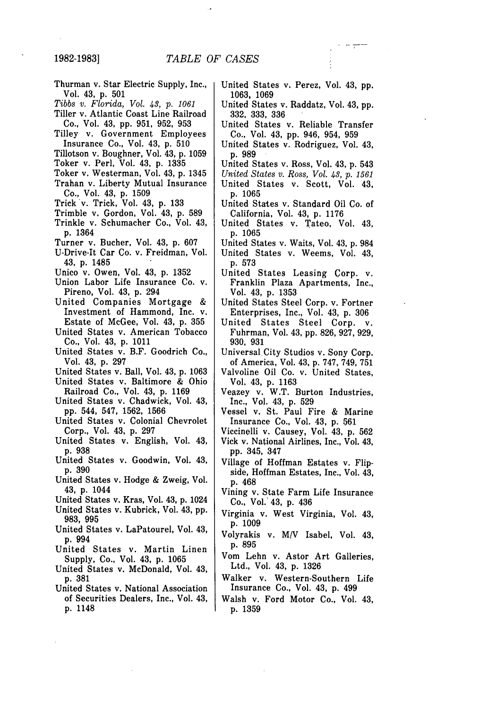- Thurman v. Star Electric Supply, Inc., Vol. 43, p. 501
- *Tibbs v. Florida, Vol. 43, p. 1061*
- Tiller v. Atlantic Coast Line Railroad Co., Vol. 43, pp. 951, 952, 953
- Tilley v. Government Employees Insurance Co., Vol. 43, p. 510
- Tillotson v. Boughner, Vol. 43, p. 1059
- Toker v. Perl, Vol. 43, p. 1335
- Toker v. Westerman, Vol. 43, p. 1345
- Trahan v. Liberty Mutual Insurance Co., Vol. 43, p. 1509
- Trick v. Trick, Vol. 43, p. 133
- Trimble v, Gordon, Vol. 43, p. 589
- Trinkle v. Schumacher Co., Vol. 43, p. 1364
- Turner v. Bucher, Vol. 43, p. 607
- U-Drive-It Car Co. v. Freidman, Vol. 43, p. 1485
- Unico v. Owen, Vol. 43, p. 1352
- Union Labor Life Insurance Co. v. Pireno, Vol. 43, p. 294
- United Companies Mortgage & Investment of Hammond, Inc. v. Estate of McGee, Vol. 43, p. 355
- United States v. American Tobacco Co., Vol. 43, p. 1011
- United States v. B.F. Goodrich Co., Vol. 43, p. 297
- United States v. Ball, Vol. 43, p. 1063
- United States v. Baltimore & Ohio Railroad Co., Vol. 43, p. 1169
- United States v. Chadwick, Vol. 43, pp. 544, 547, 1562, 1566
- United States v. Colonial Chevrolet Corp., Vol. 43, p. 297
- United States v. English, Vol. 43, p. 938
- United States v. Goodwin, Vol. 43, p. 390
- United States v. Hodge & Zweig, Vol. 43, p. 1044
- United States v. Kras, Vol. 43, p. 1024
- United States v. Kubrick, Vol. 43, pp. 983, 995
- United States v. LaPatourel, Vol. 43, p. 994
- United States v. Martin Linen Supply, Co., Vol. 43, p. 1065
- United States v. McDonald, Vol. 43, p. 381
- United States v. National Association of Securities Dealers, Inc., Vol. 43, p. 1148
- United States v. Perez, Vol. 43, **pp.** 1063, 1069
- United States v. Raddatz, Vol. 43, pp. 332, 333, 336
- United States v. Reliable Transfer Co., Vol. 43, pp. 946, 954, 959
- United States v. Rodriguez, Vol. 43, p. 989
- United States v. Ross, Vol. 43, p. 543
- *United States v. Ross, Vol. 43,* p. *1561* United States v. Scott, Vol. 43, p. 1065
- United States v. Standard Oil Co. of California, Vol. 43, p. 1176
- United States v. Tateo, Vol. 43, p. 1065
- United States v. Waits, Vol. 43, p. 984 United States v. Weems, Vol. 43,
- p. 573
- United States Leasing Corp. v. Franklin Plaza Apartments, Inc., Vol. 43, p. 1353
- United States Steel Corp. v. Fortner Enterprises, Inc., Vol. 43, p. 306
- United States Steel Corp. v. Fuhrman, Vol. 43, pp. 826, 927, 929, 930, 931
- Universal.City Studios v. Sony Corp. of America, Vol. 43, p. 747, 749, 751
- Valvoline Oil Co. v. United States, Vol, 43, p. 1163
- Veazey v. W.T. Burton Industries, Inc., Vol. 43, p. 529
- Vessel v, St. Paul Fire & Marine Insurance Co., Vol. 43, p. 561
- Viccinelli v. Causey, Vol. 43, p. 562
- Vick v. National Airlines, Inc., Vol. 43, pp. 345, 347
- Village of Hoffman Estates v. Flipside, Hoffman Estates, Inc., Vol. 43, p. 468
- Vining v. State Farm Life Insurance Co., Vol.' 43, p. 436
- Virginia v. West Virginia, Vol. 43, p. 1009
- Volyrakis v. MV Isabel, Vol. 43, p. 895
- Vom Lehn v. Astor Art Galleries, Ltd., Vol. 43, p. 1326
- Walker v. Western-Southern Life Insurance Co., Vol. 43, p. 499
- Walsh v. Ford Motor Co., Vol. 43, p. 1359